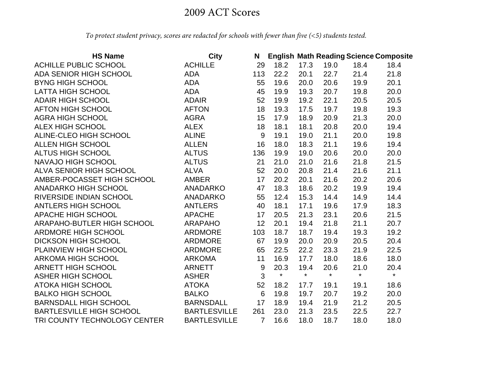## 2009 ACT Scores

*To protect student privacy, scores are redacted for schools with fewer than five (<5) students tested.*

| <b>HS Name</b>                  | <b>City</b>         | N              |         |         | <b>English Math Reading Science Composite</b> |         |         |
|---------------------------------|---------------------|----------------|---------|---------|-----------------------------------------------|---------|---------|
| ACHILLE PUBLIC SCHOOL           | <b>ACHILLE</b>      | 29             | 18.2    | 17.3    | 19.0                                          | 18.4    | 18.4    |
| ADA SENIOR HIGH SCHOOL          | <b>ADA</b>          | 113            | 22.2    | 20.1    | 22.7                                          | 21.4    | 21.8    |
| <b>BYNG HIGH SCHOOL</b>         | <b>ADA</b>          | 55             | 19.6    | 20.0    | 20.6                                          | 19.9    | 20.1    |
| <b>LATTA HIGH SCHOOL</b>        | <b>ADA</b>          | 45             | 19.9    | 19.3    | 20.7                                          | 19.8    | 20.0    |
| <b>ADAIR HIGH SCHOOL</b>        | <b>ADAIR</b>        | 52             | 19.9    | 19.2    | 22.1                                          | 20.5    | 20.5    |
| <b>AFTON HIGH SCHOOL</b>        | <b>AFTON</b>        | 18             | 19.3    | 17.5    | 19.7                                          | 19.8    | 19.3    |
| <b>AGRA HIGH SCHOOL</b>         | <b>AGRA</b>         | 15             | 17.9    | 18.9    | 20.9                                          | 21.3    | 20.0    |
| <b>ALEX HIGH SCHOOL</b>         | <b>ALEX</b>         | 18             | 18.1    | 18.1    | 20.8                                          | 20.0    | 19.4    |
| ALINE-CLEO HIGH SCHOOL          | <b>ALINE</b>        | 9              | 19.1    | 19.0    | 21.1                                          | 20.0    | 19.8    |
| <b>ALLEN HIGH SCHOOL</b>        | <b>ALLEN</b>        | 16             | 18.0    | 18.3    | 21.1                                          | 19.6    | 19.4    |
| <b>ALTUS HIGH SCHOOL</b>        | <b>ALTUS</b>        | 136            | 19.9    | 19.0    | 20.6                                          | 20.0    | 20.0    |
| NAVAJO HIGH SCHOOL              | <b>ALTUS</b>        | 21             | 21.0    | 21.0    | 21.6                                          | 21.8    | 21.5    |
| ALVA SENIOR HIGH SCHOOL         | <b>ALVA</b>         | 52             | 20.0    | 20.8    | 21.4                                          | 21.6    | 21.1    |
| AMBER-POCASSET HIGH SCHOOL      | <b>AMBER</b>        | 17             | 20.2    | 20.1    | 21.6                                          | 20.2    | 20.6    |
| <b>ANADARKO HIGH SCHOOL</b>     | <b>ANADARKO</b>     | 47             | 18.3    | 18.6    | 20.2                                          | 19.9    | 19.4    |
| RIVERSIDE INDIAN SCHOOL         | <b>ANADARKO</b>     | 55             | 12.4    | 15.3    | 14.4                                          | 14.9    | 14.4    |
| <b>ANTLERS HIGH SCHOOL</b>      | <b>ANTLERS</b>      | 40             | 18.1    | 17.1    | 19.6                                          | 17.9    | 18.3    |
| <b>APACHE HIGH SCHOOL</b>       | <b>APACHE</b>       | 17             | 20.5    | 21.3    | 23.1                                          | 20.6    | 21.5    |
| ARAPAHO-BUTLER HIGH SCHOOL      | <b>ARAPAHO</b>      | 12             | 20.1    | 19.4    | 21.8                                          | 21.1    | 20.7    |
| <b>ARDMORE HIGH SCHOOL</b>      | <b>ARDMORE</b>      | 103            | 18.7    | 18.7    | 19.4                                          | 19.3    | 19.2    |
| <b>DICKSON HIGH SCHOOL</b>      | <b>ARDMORE</b>      | 67             | 19.9    | 20.0    | 20.9                                          | 20.5    | 20.4    |
| PLAINVIEW HIGH SCHOOL           | <b>ARDMORE</b>      | 65             | 22.5    | 22.2    | 23.3                                          | 21.9    | 22.5    |
| <b>ARKOMA HIGH SCHOOL</b>       | <b>ARKOMA</b>       | 11             | 16.9    | 17.7    | 18.0                                          | 18.6    | 18.0    |
| ARNETT HIGH SCHOOL              | <b>ARNETT</b>       | 9              | 20.3    | 19.4    | 20.6                                          | 21.0    | 20.4    |
| <b>ASHER HIGH SCHOOL</b>        | <b>ASHER</b>        | 3              | $\star$ | $\star$ | $\star$                                       | $\star$ | $\star$ |
| <b>ATOKA HIGH SCHOOL</b>        | <b>ATOKA</b>        | 52             | 18.2    | 17.7    | 19.1                                          | 19.1    | 18.6    |
| <b>BALKO HIGH SCHOOL</b>        | <b>BALKO</b>        | 6              | 19.8    | 19.7    | 20.7                                          | 19.2    | 20.0    |
| <b>BARNSDALL HIGH SCHOOL</b>    | <b>BARNSDALL</b>    | 17             | 18.9    | 19.4    | 21.9                                          | 21.2    | 20.5    |
| <b>BARTLESVILLE HIGH SCHOOL</b> | <b>BARTLESVILLE</b> | 261            | 23.0    | 21.3    | 23.5                                          | 22.5    | 22.7    |
| TRI COUNTY TECHNOLOGY CENTER    | <b>BARTLESVILLE</b> | $\overline{7}$ | 16.6    | 18.0    | 18.7                                          | 18.0    | 18.0    |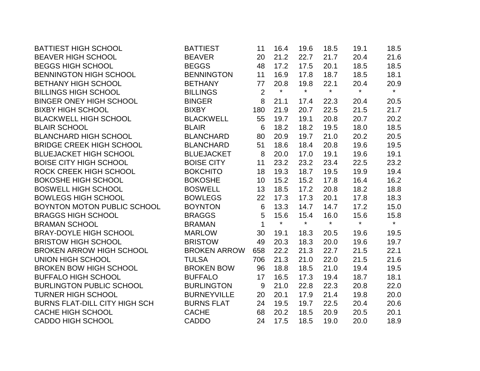| <b>BATTIEST HIGH SCHOOL</b>          | <b>BATTIEST</b>     | 11             | 16.4    | 19.6    | 18.5    | 19.1    | 18.5    |
|--------------------------------------|---------------------|----------------|---------|---------|---------|---------|---------|
| <b>BEAVER HIGH SCHOOL</b>            | <b>BEAVER</b>       | 20             | 21.2    | 22.7    | 21.7    | 20.4    | 21.6    |
| <b>BEGGS HIGH SCHOOL</b>             | <b>BEGGS</b>        | 48             | 17.2    | 17.5    | 20.1    | 18.5    | 18.5    |
| <b>BENNINGTON HIGH SCHOOL</b>        | <b>BENNINGTON</b>   | 11             | 16.9    | 17.8    | 18.7    | 18.5    | 18.1    |
| <b>BETHANY HIGH SCHOOL</b>           | <b>BETHANY</b>      | 77             | 20.8    | 19.8    | 22.1    | 20.4    | 20.9    |
| <b>BILLINGS HIGH SCHOOL</b>          | <b>BILLINGS</b>     | $\overline{2}$ | $\star$ | $\star$ | $\star$ | $\star$ | $\star$ |
| <b>BINGER ONEY HIGH SCHOOL</b>       | <b>BINGER</b>       | 8              | 21.1    | 17.4    | 22.3    | 20.4    | 20.5    |
| <b>BIXBY HIGH SCHOOL</b>             | <b>BIXBY</b>        | 180            | 21.9    | 20.7    | 22.5    | 21.5    | 21.7    |
| <b>BLACKWELL HIGH SCHOOL</b>         | <b>BLACKWELL</b>    | 55             | 19.7    | 19.1    | 20.8    | 20.7    | 20.2    |
| <b>BLAIR SCHOOL</b>                  | <b>BLAIR</b>        | $6\phantom{1}$ | 18.2    | 18.2    | 19.5    | 18.0    | 18.5    |
| <b>BLANCHARD HIGH SCHOOL</b>         | <b>BLANCHARD</b>    | 80             | 20.9    | 19.7    | 21.0    | 20.2    | 20.5    |
| <b>BRIDGE CREEK HIGH SCHOOL</b>      | <b>BLANCHARD</b>    | 51             | 18.6    | 18.4    | 20.8    | 19.6    | 19.5    |
| <b>BLUEJACKET HIGH SCHOOL</b>        | <b>BLUEJACKET</b>   | 8              | 20.0    | 17.0    | 19.1    | 19.6    | 19.1    |
| <b>BOISE CITY HIGH SCHOOL</b>        | <b>BOISE CITY</b>   | 11             | 23.2    | 23.2    | 23.4    | 22.5    | 23.2    |
| ROCK CREEK HIGH SCHOOL               | <b>BOKCHITO</b>     | 18             | 19.3    | 18.7    | 19.5    | 19.9    | 19.4    |
| <b>BOKOSHE HIGH SCHOOL</b>           | <b>BOKOSHE</b>      | 10             | 15.2    | 15.2    | 17.8    | 16.4    | 16.2    |
| <b>BOSWELL HIGH SCHOOL</b>           | <b>BOSWELL</b>      | 13             | 18.5    | 17.2    | 20.8    | 18.2    | 18.8    |
| <b>BOWLEGS HIGH SCHOOL</b>           | <b>BOWLEGS</b>      | 22             | 17.3    | 17.3    | 20.1    | 17.8    | 18.3    |
| BOYNTON MOTON PUBLIC SCHOOL          | <b>BOYNTON</b>      | $6\,$          | 13.3    | 14.7    | 14.7    | 17.2    | 15.0    |
| <b>BRAGGS HIGH SCHOOL</b>            | <b>BRAGGS</b>       | 5              | 15.6    | 15.4    | 16.0    | 15.6    | 15.8    |
| <b>BRAMAN SCHOOL</b>                 | <b>BRAMAN</b>       | $\mathbf 1$    | $\star$ | $\star$ | $\star$ | $\star$ | $\star$ |
| <b>BRAY-DOYLE HIGH SCHOOL</b>        | <b>MARLOW</b>       | 30             | 19.1    | 18.3    | 20.5    | 19.6    | 19.5    |
| <b>BRISTOW HIGH SCHOOL</b>           | <b>BRISTOW</b>      | 49             | 20.3    | 18.3    | 20.0    | 19.6    | 19.7    |
| <b>BROKEN ARROW HIGH SCHOOL</b>      | <b>BROKEN ARROW</b> | 658            | 22.2    | 21.3    | 22.7    | 21.5    | 22.1    |
| <b>UNION HIGH SCHOOL</b>             | <b>TULSA</b>        | 706            | 21.3    | 21.0    | 22.0    | 21.5    | 21.6    |
| <b>BROKEN BOW HIGH SCHOOL</b>        | <b>BROKEN BOW</b>   | 96             | 18.8    | 18.5    | 21.0    | 19.4    | 19.5    |
| <b>BUFFALO HIGH SCHOOL</b>           | <b>BUFFALO</b>      | 17             | 16.5    | 17.3    | 19.4    | 18.7    | 18.1    |
| <b>BURLINGTON PUBLIC SCHOOL</b>      | <b>BURLINGTON</b>   | 9              | 21.0    | 22.8    | 22.3    | 20.8    | 22.0    |
| <b>TURNER HIGH SCHOOL</b>            | <b>BURNEYVILLE</b>  | 20             | 20.1    | 17.9    | 21.4    | 19.8    | 20.0    |
| <b>BURNS FLAT-DILL CITY HIGH SCH</b> | <b>BURNS FLAT</b>   | 24             | 19.5    | 19.7    | 22.5    | 20.4    | 20.6    |
| <b>CACHE HIGH SCHOOL</b>             | <b>CACHE</b>        | 68             | 20.2    | 18.5    | 20.9    | 20.5    | 20.1    |
| <b>CADDO HIGH SCHOOL</b>             | <b>CADDO</b>        | 24             | 17.5    | 18.5    | 19.0    | 20.0    | 18.9    |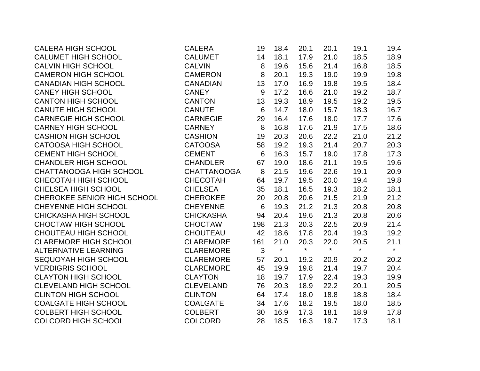| <b>CALERA HIGH SCHOOL</b>      | <b>CALERA</b>      | 19              | 18.4    | 20.1    | 20.1    | 19.1    | 19.4    |
|--------------------------------|--------------------|-----------------|---------|---------|---------|---------|---------|
| <b>CALUMET HIGH SCHOOL</b>     | <b>CALUMET</b>     | 14              | 18.1    | 17.9    | 21.0    | 18.5    | 18.9    |
| <b>CALVIN HIGH SCHOOL</b>      | <b>CALVIN</b>      | 8               | 19.6    | 15.6    | 21.4    | 16.8    | 18.5    |
| <b>CAMERON HIGH SCHOOL</b>     | <b>CAMERON</b>     | 8               | 20.1    | 19.3    | 19.0    | 19.9    | 19.8    |
| <b>CANADIAN HIGH SCHOOL</b>    | <b>CANADIAN</b>    | 13              | 17.0    | 16.9    | 19.8    | 19.5    | 18.4    |
| <b>CANEY HIGH SCHOOL</b>       | <b>CANEY</b>       | 9               | 17.2    | 16.6    | 21.0    | 19.2    | 18.7    |
| <b>CANTON HIGH SCHOOL</b>      | <b>CANTON</b>      | 13              | 19.3    | 18.9    | 19.5    | 19.2    | 19.5    |
| <b>CANUTE HIGH SCHOOL</b>      | <b>CANUTE</b>      | $6\phantom{1}6$ | 14.7    | 18.0    | 15.7    | 18.3    | 16.7    |
| <b>CARNEGIE HIGH SCHOOL</b>    | <b>CARNEGIE</b>    | 29              | 16.4    | 17.6    | 18.0    | 17.7    | 17.6    |
| <b>CARNEY HIGH SCHOOL</b>      | <b>CARNEY</b>      | 8               | 16.8    | 17.6    | 21.9    | 17.5    | 18.6    |
| <b>CASHION HIGH SCHOOL</b>     | <b>CASHION</b>     | 19              | 20.3    | 20.6    | 22.2    | 21.0    | 21.2    |
| <b>CATOOSA HIGH SCHOOL</b>     | <b>CATOOSA</b>     | 58              | 19.2    | 19.3    | 21.4    | 20.7    | 20.3    |
| <b>CEMENT HIGH SCHOOL</b>      | <b>CEMENT</b>      | 6               | 16.3    | 15.7    | 19.0    | 17.8    | 17.3    |
| <b>CHANDLER HIGH SCHOOL</b>    | <b>CHANDLER</b>    | 67              | 19.0    | 18.6    | 21.1    | 19.5    | 19.6    |
| <b>CHATTANOOGA HIGH SCHOOL</b> | <b>CHATTANOOGA</b> | 8               | 21.5    | 19.6    | 22.6    | 19.1    | 20.9    |
| CHECOTAH HIGH SCHOOL           | <b>CHECOTAH</b>    | 64              | 19.7    | 19.5    | 20.0    | 19.4    | 19.8    |
| <b>CHELSEA HIGH SCHOOL</b>     | <b>CHELSEA</b>     | 35              | 18.1    | 16.5    | 19.3    | 18.2    | 18.1    |
| CHEROKEE SENIOR HIGH SCHOOL    | <b>CHEROKEE</b>    | 20              | 20.8    | 20.6    | 21.5    | 21.9    | 21.2    |
| <b>CHEYENNE HIGH SCHOOL</b>    | <b>CHEYENNE</b>    | 6               | 19.3    | 21.2    | 21.3    | 20.8    | 20.8    |
| <b>CHICKASHA HIGH SCHOOL</b>   | <b>CHICKASHA</b>   | 94              | 20.4    | 19.6    | 21.3    | 20.8    | 20.6    |
| <b>CHOCTAW HIGH SCHOOL</b>     | <b>CHOCTAW</b>     | 198             | 21.3    | 20.3    | 22.5    | 20.9    | 21.4    |
| <b>CHOUTEAU HIGH SCHOOL</b>    | <b>CHOUTEAU</b>    | 42              | 18.6    | 17.8    | 20.4    | 19.3    | 19.2    |
| <b>CLAREMORE HIGH SCHOOL</b>   | <b>CLAREMORE</b>   | 161             | 21.0    | 20.3    | 22.0    | 20.5    | 21.1    |
| <b>ALTERNATIVE LEARNING</b>    | <b>CLAREMORE</b>   | $\mathfrak{S}$  | $\star$ | $\star$ | $\star$ | $\star$ | $\star$ |
| <b>SEQUOYAH HIGH SCHOOL</b>    | <b>CLAREMORE</b>   | 57              | 20.1    | 19.2    | 20.9    | 20.2    | 20.2    |
| <b>VERDIGRIS SCHOOL</b>        | <b>CLAREMORE</b>   | 45              | 19.9    | 19.8    | 21.4    | 19.7    | 20.4    |
| <b>CLAYTON HIGH SCHOOL</b>     | <b>CLAYTON</b>     | 18              | 19.7    | 17.9    | 22.4    | 19.3    | 19.9    |
| <b>CLEVELAND HIGH SCHOOL</b>   | <b>CLEVELAND</b>   | 76              | 20.3    | 18.9    | 22.2    | 20.1    | 20.5    |
| <b>CLINTON HIGH SCHOOL</b>     | <b>CLINTON</b>     | 64              | 17.4    | 18.0    | 18.8    | 18.8    | 18.4    |
| <b>COALGATE HIGH SCHOOL</b>    | <b>COALGATE</b>    | 34              | 17.6    | 18.2    | 19.5    | 18.0    | 18.5    |
| <b>COLBERT HIGH SCHOOL</b>     | <b>COLBERT</b>     | 30              | 16.9    | 17.3    | 18.1    | 18.9    | 17.8    |
| <b>COLCORD HIGH SCHOOL</b>     | <b>COLCORD</b>     | 28              | 18.5    | 16.3    | 19.7    | 17.3    | 18.1    |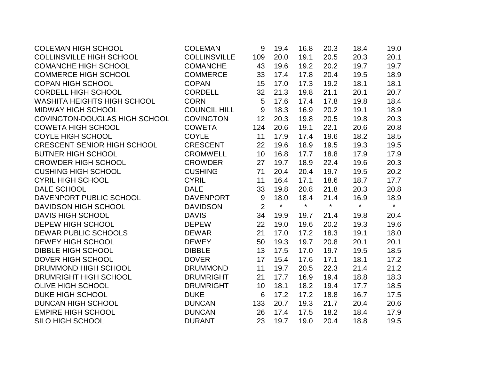| <b>COLEMAN HIGH SCHOOL</b>           | <b>COLEMAN</b>      | 9                | 19.4    | 16.8    | 20.3    | 18.4    | 19.0    |
|--------------------------------------|---------------------|------------------|---------|---------|---------|---------|---------|
| <b>COLLINSVILLE HIGH SCHOOL</b>      | <b>COLLINSVILLE</b> | 109              | 20.0    | 19.1    | 20.5    | 20.3    | 20.1    |
| <b>COMANCHE HIGH SCHOOL</b>          | <b>COMANCHE</b>     | 43               | 19.6    | 19.2    | 20.2    | 19.7    | 19.7    |
| <b>COMMERCE HIGH SCHOOL</b>          | <b>COMMERCE</b>     | 33               | 17.4    | 17.8    | 20.4    | 19.5    | 18.9    |
| <b>COPAN HIGH SCHOOL</b>             | <b>COPAN</b>        | 15               | 17.0    | 17.3    | 19.2    | 18.1    | 18.1    |
| <b>CORDELL HIGH SCHOOL</b>           | <b>CORDELL</b>      | 32               | 21.3    | 19.8    | 21.1    | 20.1    | 20.7    |
| WASHITA HEIGHTS HIGH SCHOOL          | <b>CORN</b>         | 5                | 17.6    | 17.4    | 17.8    | 19.8    | 18.4    |
| <b>MIDWAY HIGH SCHOOL</b>            | <b>COUNCIL HILL</b> | $9\,$            | 18.3    | 16.9    | 20.2    | 19.1    | 18.9    |
| <b>COVINGTON-DOUGLAS HIGH SCHOOL</b> | <b>COVINGTON</b>    | 12               | 20.3    | 19.8    | 20.5    | 19.8    | 20.3    |
| <b>COWETA HIGH SCHOOL</b>            | <b>COWETA</b>       | 124              | 20.6    | 19.1    | 22.1    | 20.6    | 20.8    |
| <b>COYLE HIGH SCHOOL</b>             | <b>COYLE</b>        | 11               | 17.9    | 17.4    | 19.6    | 18.2    | 18.5    |
| <b>CRESCENT SENIOR HIGH SCHOOL</b>   | <b>CRESCENT</b>     | 22               | 19.6    | 18.9    | 19.5    | 19.3    | 19.5    |
| <b>BUTNER HIGH SCHOOL</b>            | <b>CROMWELL</b>     | 10               | 16.8    | 17.7    | 18.8    | 17.9    | 17.9    |
| <b>CROWDER HIGH SCHOOL</b>           | <b>CROWDER</b>      | 27               | 19.7    | 18.9    | 22.4    | 19.6    | 20.3    |
| <b>CUSHING HIGH SCHOOL</b>           | <b>CUSHING</b>      | 71               | 20.4    | 20.4    | 19.7    | 19.5    | 20.2    |
| <b>CYRIL HIGH SCHOOL</b>             | <b>CYRIL</b>        | 11               | 16.4    | 17.1    | 18.6    | 18.7    | 17.7    |
| DALE SCHOOL                          | <b>DALE</b>         | 33               | 19.8    | 20.8    | 21.8    | 20.3    | 20.8    |
| DAVENPORT PUBLIC SCHOOL              | <b>DAVENPORT</b>    | $\boldsymbol{9}$ | 18.0    | 18.4    | 21.4    | 16.9    | 18.9    |
| <b>DAVIDSON HIGH SCHOOL</b>          | <b>DAVIDSON</b>     | $\overline{2}$   | $\star$ | $\star$ | $\star$ | $\star$ | $\star$ |
| <b>DAVIS HIGH SCHOOL</b>             | <b>DAVIS</b>        | 34               | 19.9    | 19.7    | 21.4    | 19.8    | 20.4    |
| <b>DEPEW HIGH SCHOOL</b>             | <b>DEPEW</b>        | 22               | 19.0    | 19.6    | 20.2    | 19.3    | 19.6    |
| <b>DEWAR PUBLIC SCHOOLS</b>          | <b>DEWAR</b>        | 21               | 17.0    | 17.2    | 18.3    | 19.1    | 18.0    |
| <b>DEWEY HIGH SCHOOL</b>             | <b>DEWEY</b>        | 50               | 19.3    | 19.7    | 20.8    | 20.1    | 20.1    |
| <b>DIBBLE HIGH SCHOOL</b>            | <b>DIBBLE</b>       | 13               | 17.5    | 17.0    | 19.7    | 19.5    | 18.5    |
| <b>DOVER HIGH SCHOOL</b>             | <b>DOVER</b>        | 17               | 15.4    | 17.6    | 17.1    | 18.1    | 17.2    |
| DRUMMOND HIGH SCHOOL                 | <b>DRUMMOND</b>     | 11               | 19.7    | 20.5    | 22.3    | 21.4    | 21.2    |
| DRUMRIGHT HIGH SCHOOL                | <b>DRUMRIGHT</b>    | 21               | 17.7    | 16.9    | 19.4    | 18.8    | 18.3    |
| <b>OLIVE HIGH SCHOOL</b>             | <b>DRUMRIGHT</b>    | 10               | 18.1    | 18.2    | 19.4    | 17.7    | 18.5    |
| <b>DUKE HIGH SCHOOL</b>              | <b>DUKE</b>         | 6                | 17.2    | 17.2    | 18.8    | 16.7    | 17.5    |
| <b>DUNCAN HIGH SCHOOL</b>            | <b>DUNCAN</b>       | 133              | 20.7    | 19.3    | 21.7    | 20.4    | 20.6    |
| <b>EMPIRE HIGH SCHOOL</b>            | <b>DUNCAN</b>       | 26               | 17.4    | 17.5    | 18.2    | 18.4    | 17.9    |
| SILO HIGH SCHOOL                     | <b>DURANT</b>       | 23               | 19.7    | 19.0    | 20.4    | 18.8    | 19.5    |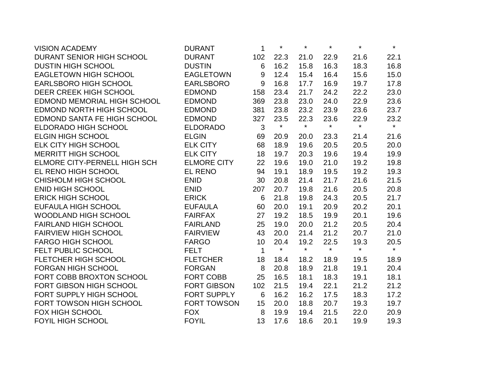| <b>VISION ACADEMY</b>              | <b>DURANT</b>      | 1           | $\star$ | $\star$ | $\star$ | $\star$ | $\star$ |
|------------------------------------|--------------------|-------------|---------|---------|---------|---------|---------|
| DURANT SENIOR HIGH SCHOOL          | <b>DURANT</b>      | 102         | 22.3    | 21.0    | 22.9    | 21.6    | 22.1    |
| <b>DUSTIN HIGH SCHOOL</b>          | <b>DUSTIN</b>      | 6           | 16.2    | 15.8    | 16.3    | 18.3    | 16.8    |
| EAGLETOWN HIGH SCHOOL              | <b>EAGLETOWN</b>   | 9           | 12.4    | 15.4    | 16.4    | 15.6    | 15.0    |
| <b>EARLSBORO HIGH SCHOOL</b>       | <b>EARLSBORO</b>   | $9$         | 16.8    | 17.7    | 16.9    | 19.7    | 17.8    |
| <b>DEER CREEK HIGH SCHOOL</b>      | <b>EDMOND</b>      | 158         | 23.4    | 21.7    | 24.2    | 22.2    | 23.0    |
| EDMOND MEMORIAL HIGH SCHOOL        | <b>EDMOND</b>      | 369         | 23.8    | 23.0    | 24.0    | 22.9    | 23.6    |
| EDMOND NORTH HIGH SCHOOL           | <b>EDMOND</b>      | 381         | 23.8    | 23.2    | 23.9    | 23.6    | 23.7    |
| <b>EDMOND SANTA FE HIGH SCHOOL</b> | <b>EDMOND</b>      | 327         | 23.5    | 22.3    | 23.6    | 22.9    | 23.2    |
| <b>ELDORADO HIGH SCHOOL</b>        | <b>ELDORADO</b>    | 3           | $\star$ | $\star$ | $\star$ | $\star$ | $\star$ |
| <b>ELGIN HIGH SCHOOL</b>           | <b>ELGIN</b>       | 69          | 20.9    | 20.0    | 23.3    | 21.4    | 21.6    |
| <b>ELK CITY HIGH SCHOOL</b>        | <b>ELK CITY</b>    | 68          | 18.9    | 19.6    | 20.5    | 20.5    | 20.0    |
| <b>MERRITT HIGH SCHOOL</b>         | <b>ELK CITY</b>    | 18          | 19.7    | 20.3    | 19.6    | 19.4    | 19.9    |
| ELMORE CITY-PERNELL HIGH SCH       | <b>ELMORE CITY</b> | 22          | 19.6    | 19.0    | 21.0    | 19.2    | 19.8    |
| EL RENO HIGH SCHOOL                | <b>EL RENO</b>     | 94          | 19.1    | 18.9    | 19.5    | 19.2    | 19.3    |
| <b>CHISHOLM HIGH SCHOOL</b>        | <b>ENID</b>        | 30          | 20.8    | 21.4    | 21.7    | 21.6    | 21.5    |
| <b>ENID HIGH SCHOOL</b>            | <b>ENID</b>        | 207         | 20.7    | 19.8    | 21.6    | 20.5    | 20.8    |
| <b>ERICK HIGH SCHOOL</b>           | <b>ERICK</b>       | 6           | 21.8    | 19.8    | 24.3    | 20.5    | 21.7    |
| EUFAULA HIGH SCHOOL                | <b>EUFAULA</b>     | 60          | 20.0    | 19.1    | 20.9    | 20.2    | 20.1    |
| <b>WOODLAND HIGH SCHOOL</b>        | <b>FAIRFAX</b>     | 27          | 19.2    | 18.5    | 19.9    | 20.1    | 19.6    |
| <b>FAIRLAND HIGH SCHOOL</b>        | <b>FAIRLAND</b>    | 25          | 19.0    | 20.0    | 21.2    | 20.5    | 20.4    |
| <b>FAIRVIEW HIGH SCHOOL</b>        | <b>FAIRVIEW</b>    | 43          | 20.0    | 21.4    | 21.2    | 20.7    | 21.0    |
| <b>FARGO HIGH SCHOOL</b>           | <b>FARGO</b>       | 10          | 20.4    | 19.2    | 22.5    | 19.3    | 20.5    |
| FELT PUBLIC SCHOOL                 | <b>FELT</b>        | $\mathbf 1$ | $\star$ | $\star$ | $\star$ | $\star$ | $\star$ |
| FLETCHER HIGH SCHOOL               | <b>FLETCHER</b>    | 18          | 18.4    | 18.2    | 18.9    | 19.5    | 18.9    |
| <b>FORGAN HIGH SCHOOL</b>          | <b>FORGAN</b>      | 8           | 20.8    | 18.9    | 21.8    | 19.1    | 20.4    |
| FORT COBB BROXTON SCHOOL           | <b>FORT COBB</b>   | 25          | 16.5    | 18.1    | 18.3    | 19.1    | 18.1    |
| FORT GIBSON HIGH SCHOOL            | <b>FORT GIBSON</b> | 102         | 21.5    | 19.4    | 22.1    | 21.2    | 21.2    |
| FORT SUPPLY HIGH SCHOOL            | <b>FORT SUPPLY</b> | 6           | 16.2    | 16.2    | 17.5    | 18.3    | 17.2    |
| FORT TOWSON HIGH SCHOOL            | <b>FORT TOWSON</b> | 15          | 20.0    | 18.8    | 20.7    | 19.3    | 19.7    |
| <b>FOX HIGH SCHOOL</b>             | <b>FOX</b>         | 8           | 19.9    | 19.4    | 21.5    | 22.0    | 20.9    |
| <b>FOYIL HIGH SCHOOL</b>           | <b>FOYIL</b>       | 13          | 17.6    | 18.6    | 20.1    | 19.9    | 19.3    |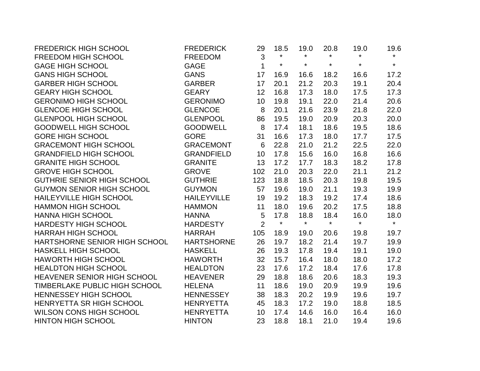| <b>FREDERICK HIGH SCHOOL</b>      | <b>FREDERICK</b>   | 29             | 18.5    | 19.0    | 20.8    | 19.0    | 19.6    |
|-----------------------------------|--------------------|----------------|---------|---------|---------|---------|---------|
| <b>FREEDOM HIGH SCHOOL</b>        | <b>FREEDOM</b>     | 3              | $\star$ | $\star$ | $\star$ | $\star$ | $\star$ |
| <b>GAGE HIGH SCHOOL</b>           | <b>GAGE</b>        | $\mathbf 1$    | $\star$ | $\star$ | $\star$ | $\star$ | $\star$ |
| <b>GANS HIGH SCHOOL</b>           | <b>GANS</b>        | 17             | 16.9    | 16.6    | 18.2    | 16.6    | 17.2    |
| <b>GARBER HIGH SCHOOL</b>         | <b>GARBER</b>      | 17             | 20.1    | 21.2    | 20.3    | 19.1    | 20.4    |
| <b>GEARY HIGH SCHOOL</b>          | <b>GEARY</b>       | 12             | 16.8    | 17.3    | 18.0    | 17.5    | 17.3    |
| <b>GERONIMO HIGH SCHOOL</b>       | <b>GERONIMO</b>    | 10             | 19.8    | 19.1    | 22.0    | 21.4    | 20.6    |
| <b>GLENCOE HIGH SCHOOL</b>        | <b>GLENCOE</b>     | 8              | 20.1    | 21.6    | 23.9    | 21.8    | 22.0    |
| <b>GLENPOOL HIGH SCHOOL</b>       | <b>GLENPOOL</b>    | 86             | 19.5    | 19.0    | 20.9    | 20.3    | 20.0    |
| <b>GOODWELL HIGH SCHOOL</b>       | <b>GOODWELL</b>    | 8              | 17.4    | 18.1    | 18.6    | 19.5    | 18.6    |
| <b>GORE HIGH SCHOOL</b>           | <b>GORE</b>        | 31             | 16.6    | 17.3    | 18.0    | 17.7    | 17.5    |
| <b>GRACEMONT HIGH SCHOOL</b>      | <b>GRACEMONT</b>   | 6              | 22.8    | 21.0    | 21.2    | 22.5    | 22.0    |
| <b>GRANDFIELD HIGH SCHOOL</b>     | <b>GRANDFIELD</b>  | 10             | 17.8    | 15.6    | 16.0    | 16.8    | 16.6    |
| <b>GRANITE HIGH SCHOOL</b>        | <b>GRANITE</b>     | 13             | 17.2    | 17.7    | 18.3    | 18.2    | 17.8    |
| <b>GROVE HIGH SCHOOL</b>          | <b>GROVE</b>       | 102            | 21.0    | 20.3    | 22.0    | 21.1    | 21.2    |
| <b>GUTHRIE SENIOR HIGH SCHOOL</b> | <b>GUTHRIE</b>     | 123            | 18.8    | 18.5    | 20.3    | 19.8    | 19.5    |
| <b>GUYMON SENIOR HIGH SCHOOL</b>  | <b>GUYMON</b>      | 57             | 19.6    | 19.0    | 21.1    | 19.3    | 19.9    |
| <b>HAILEYVILLE HIGH SCHOOL</b>    | <b>HAILEYVILLE</b> | 19             | 19.2    | 18.3    | 19.2    | 17.4    | 18.6    |
| <b>HAMMON HIGH SCHOOL</b>         | <b>HAMMON</b>      | 11             | 18.0    | 19.6    | 20.2    | 17.5    | 18.8    |
| HANNA HIGH SCHOOL                 | <b>HANNA</b>       | 5              | 17.8    | 18.8    | 18.4    | 16.0    | 18.0    |
| <b>HARDESTY HIGH SCHOOL</b>       | <b>HARDESTY</b>    | $\overline{2}$ | $\star$ | $\star$ | $\star$ | $\star$ | $\star$ |
| <b>HARRAH HIGH SCHOOL</b>         | <b>HARRAH</b>      | 105            | 18.9    | 19.0    | 20.6    | 19.8    | 19.7    |
| HARTSHORNE SENIOR HIGH SCHOOL     | <b>HARTSHORNE</b>  | 26             | 19.7    | 18.2    | 21.4    | 19.7    | 19.9    |
| <b>HASKELL HIGH SCHOOL</b>        | <b>HASKELL</b>     | 26             | 19.3    | 17.8    | 19.4    | 19.1    | 19.0    |
| <b>HAWORTH HIGH SCHOOL</b>        | <b>HAWORTH</b>     | 32             | 15.7    | 16.4    | 18.0    | 18.0    | 17.2    |
| <b>HEALDTON HIGH SCHOOL</b>       | <b>HEALDTON</b>    | 23             | 17.6    | 17.2    | 18.4    | 17.6    | 17.8    |
| HEAVENER SENIOR HIGH SCHOOL       | <b>HEAVENER</b>    | 29             | 18.8    | 18.6    | 20.6    | 18.3    | 19.3    |
| TIMBERLAKE PUBLIC HIGH SCHOOL     | <b>HELENA</b>      | 11             | 18.6    | 19.0    | 20.9    | 19.9    | 19.6    |
| HENNESSEY HIGH SCHOOL             | <b>HENNESSEY</b>   | 38             | 18.3    | 20.2    | 19.9    | 19.6    | 19.7    |
| HENRYETTA SR HIGH SCHOOL          | <b>HENRYETTA</b>   | 45             | 18.3    | 17.2    | 19.0    | 18.8    | 18.5    |
| <b>WILSON CONS HIGH SCHOOL</b>    | <b>HENRYETTA</b>   | 10             | 17.4    | 14.6    | 16.0    | 16.4    | 16.0    |
| <b>HINTON HIGH SCHOOL</b>         | <b>HINTON</b>      | 23             | 18.8    | 18.1    | 21.0    | 19.4    | 19.6    |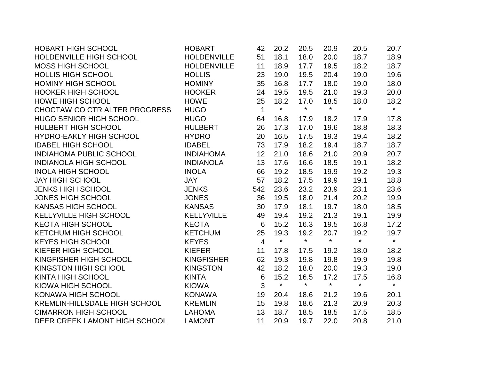| <b>HOBART HIGH SCHOOL</b>            | <b>HOBART</b>      | 42             | 20.2         | 20.5    | 20.9    | 20.5    | 20.7    |
|--------------------------------------|--------------------|----------------|--------------|---------|---------|---------|---------|
| HOLDENVILLE HIGH SCHOOL              | <b>HOLDENVILLE</b> | 51             | 18.1         | 18.0    | 20.0    | 18.7    | 18.9    |
| <b>MOSS HIGH SCHOOL</b>              | <b>HOLDENVILLE</b> | 11             | 18.9         | 17.7    | 19.5    | 18.2    | 18.7    |
| <b>HOLLIS HIGH SCHOOL</b>            | <b>HOLLIS</b>      | 23             | 19.0         | 19.5    | 20.4    | 19.0    | 19.6    |
| <b>HOMINY HIGH SCHOOL</b>            | <b>HOMINY</b>      | 35             | 16.8         | 17.7    | 18.0    | 19.0    | 18.0    |
| <b>HOOKER HIGH SCHOOL</b>            | <b>HOOKER</b>      | 24             | 19.5         | 19.5    | 21.0    | 19.3    | 20.0    |
| <b>HOWE HIGH SCHOOL</b>              | <b>HOWE</b>        | 25             | 18.2         | 17.0    | 18.5    | 18.0    | 18.2    |
| CHOCTAW CO CTR ALTER PROGRESS        | <b>HUGO</b>        | $\mathbf{1}$   | $\pmb{\ast}$ | $\star$ | $\star$ | $\star$ | $\star$ |
| <b>HUGO SENIOR HIGH SCHOOL</b>       | <b>HUGO</b>        | 64             | 16.8         | 17.9    | 18.2    | 17.9    | 17.8    |
| HULBERT HIGH SCHOOL                  | <b>HULBERT</b>     | 26             | 17.3         | 17.0    | 19.6    | 18.8    | 18.3    |
| <b>HYDRO-EAKLY HIGH SCHOOL</b>       | <b>HYDRO</b>       | 20             | 16.5         | 17.5    | 19.3    | 19.4    | 18.2    |
| <b>IDABEL HIGH SCHOOL</b>            | <b>IDABEL</b>      | 73             | 17.9         | 18.2    | 19.4    | 18.7    | 18.7    |
| <b>INDIAHOMA PUBLIC SCHOOL</b>       | <b>INDIAHOMA</b>   | 12             | 21.0         | 18.6    | 21.0    | 20.9    | 20.7    |
| <b>INDIANOLA HIGH SCHOOL</b>         | <b>INDIANOLA</b>   | 13             | 17.6         | 16.6    | 18.5    | 19.1    | 18.2    |
| <b>INOLA HIGH SCHOOL</b>             | <b>INOLA</b>       | 66             | 19.2         | 18.5    | 19.9    | 19.2    | 19.3    |
| <b>JAY HIGH SCHOOL</b>               | <b>JAY</b>         | 57             | 18.2         | 17.5    | 19.9    | 19.1    | 18.8    |
| <b>JENKS HIGH SCHOOL</b>             | <b>JENKS</b>       | 542            | 23.6         | 23.2    | 23.9    | 23.1    | 23.6    |
| <b>JONES HIGH SCHOOL</b>             | <b>JONES</b>       | 36             | 19.5         | 18.0    | 21.4    | 20.2    | 19.9    |
| <b>KANSAS HIGH SCHOOL</b>            | <b>KANSAS</b>      | 30             | 17.9         | 18.1    | 19.7    | 18.0    | 18.5    |
| KELLYVILLE HIGH SCHOOL               | <b>KELLYVILLE</b>  | 49             | 19.4         | 19.2    | 21.3    | 19.1    | 19.9    |
| <b>KEOTA HIGH SCHOOL</b>             | <b>KEOTA</b>       | 6              | 15.2         | 16.3    | 19.5    | 16.8    | 17.2    |
| <b>KETCHUM HIGH SCHOOL</b>           | <b>KETCHUM</b>     | 25             | 19.3         | 19.2    | 20.7    | 19.2    | 19.7    |
| <b>KEYES HIGH SCHOOL</b>             | <b>KEYES</b>       | $\overline{4}$ | $\star$      | $\star$ | $\star$ | $\star$ | $\star$ |
| KIEFER HIGH SCHOOL                   | <b>KIEFER</b>      | 11             | 17.8         | 17.5    | 19.2    | 18.0    | 18.2    |
| KINGFISHER HIGH SCHOOL               | <b>KINGFISHER</b>  | 62             | 19.3         | 19.8    | 19.8    | 19.9    | 19.8    |
| KINGSTON HIGH SCHOOL                 | <b>KINGSTON</b>    | 42             | 18.2         | 18.0    | 20.0    | 19.3    | 19.0    |
| KINTA HIGH SCHOOL                    | <b>KINTA</b>       | $6\phantom{1}$ | 15.2         | 16.5    | 17.2    | 17.5    | 16.8    |
| KIOWA HIGH SCHOOL                    | <b>KIOWA</b>       | 3              | $\star$      | $\star$ | $\star$ | $\star$ | $\star$ |
| KONAWA HIGH SCHOOL                   | <b>KONAWA</b>      | 19             | 20.4         | 18.6    | 21.2    | 19.6    | 20.1    |
| <b>KREMLIN-HILLSDALE HIGH SCHOOL</b> | <b>KREMLIN</b>     | 15             | 19.8         | 18.6    | 21.3    | 20.9    | 20.3    |
| <b>CIMARRON HIGH SCHOOL</b>          | <b>LAHOMA</b>      | 13             | 18.7         | 18.5    | 18.5    | 17.5    | 18.5    |
| DEER CREEK LAMONT HIGH SCHOOL        | <b>LAMONT</b>      | 11             | 20.9         | 19.7    | 22.0    | 20.8    | 21.0    |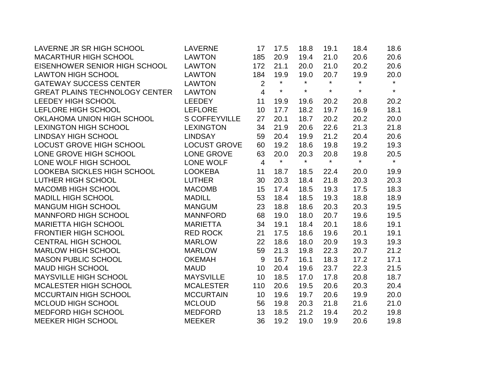| LAVERNE JR SR HIGH SCHOOL             | <b>LAVERNE</b>       | 17             | 17.5    | 18.8    | 19.1    | 18.4    | 18.6    |
|---------------------------------------|----------------------|----------------|---------|---------|---------|---------|---------|
| <b>MACARTHUR HIGH SCHOOL</b>          | <b>LAWTON</b>        | 185            | 20.9    | 19.4    | 21.0    | 20.6    | 20.6    |
| EISENHOWER SENIOR HIGH SCHOOL         | <b>LAWTON</b>        | 172            | 21.1    | 20.0    | 21.0    | 20.2    | 20.6    |
| <b>LAWTON HIGH SCHOOL</b>             | <b>LAWTON</b>        | 184            | 19.9    | 19.0    | 20.7    | 19.9    | 20.0    |
| <b>GATEWAY SUCCESS CENTER</b>         | <b>LAWTON</b>        | $\overline{2}$ | $\star$ | $\star$ | $\star$ | $\star$ | $\star$ |
| <b>GREAT PLAINS TECHNOLOGY CENTER</b> | <b>LAWTON</b>        | $\overline{4}$ | $\star$ | $\star$ | $\star$ | $\star$ | $\star$ |
| LEEDEY HIGH SCHOOL                    | LEEDEY               | 11             | 19.9    | 19.6    | 20.2    | 20.8    | 20.2    |
| LEFLORE HIGH SCHOOL                   | <b>LEFLORE</b>       | 10             | 17.7    | 18.2    | 19.7    | 16.9    | 18.1    |
| OKLAHOMA UNION HIGH SCHOOL            | <b>S COFFEYVILLE</b> | 27             | 20.1    | 18.7    | 20.2    | 20.2    | 20.0    |
| <b>LEXINGTON HIGH SCHOOL</b>          | <b>LEXINGTON</b>     | 34             | 21.9    | 20.6    | 22.6    | 21.3    | 21.8    |
| <b>LINDSAY HIGH SCHOOL</b>            | <b>LINDSAY</b>       | 59             | 20.4    | 19.9    | 21.2    | 20.4    | 20.6    |
| LOCUST GROVE HIGH SCHOOL              | <b>LOCUST GROVE</b>  | 60             | 19.2    | 18.6    | 19.8    | 19.2    | 19.3    |
| LONE GROVE HIGH SCHOOL                | <b>LONE GROVE</b>    | 63             | 20.0    | 20.3    | 20.8    | 19.8    | 20.5    |
| LONE WOLF HIGH SCHOOL                 | LONE WOLF            | $\overline{4}$ | $\star$ | $\star$ | $\star$ | $\star$ | $\star$ |
| LOOKEBA SICKLES HIGH SCHOOL           | <b>LOOKEBA</b>       | 11             | 18.7    | 18.5    | 22.4    | 20.0    | 19.9    |
| LUTHER HIGH SCHOOL                    | <b>LUTHER</b>        | 30             | 20.3    | 18.4    | 21.8    | 20.3    | 20.3    |
| <b>MACOMB HIGH SCHOOL</b>             | <b>MACOMB</b>        | 15             | 17.4    | 18.5    | 19.3    | 17.5    | 18.3    |
| <b>MADILL HIGH SCHOOL</b>             | <b>MADILL</b>        | 53             | 18.4    | 18.5    | 19.3    | 18.8    | 18.9    |
| <b>MANGUM HIGH SCHOOL</b>             | <b>MANGUM</b>        | 23             | 18.8    | 18.6    | 20.3    | 20.3    | 19.5    |
| <b>MANNFORD HIGH SCHOOL</b>           | <b>MANNFORD</b>      | 68             | 19.0    | 18.0    | 20.7    | 19.6    | 19.5    |
| <b>MARIETTA HIGH SCHOOL</b>           | <b>MARIETTA</b>      | 34             | 19.1    | 18.4    | 20.1    | 18.6    | 19.1    |
| <b>FRONTIER HIGH SCHOOL</b>           | <b>RED ROCK</b>      | 21             | 17.5    | 18.6    | 19.6    | 20.1    | 19.1    |
| <b>CENTRAL HIGH SCHOOL</b>            | <b>MARLOW</b>        | 22             | 18.6    | 18.0    | 20.9    | 19.3    | 19.3    |
| <b>MARLOW HIGH SCHOOL</b>             | <b>MARLOW</b>        | 59             | 21.3    | 19.8    | 22.3    | 20.7    | 21.2    |
| <b>MASON PUBLIC SCHOOL</b>            | <b>OKEMAH</b>        | 9              | 16.7    | 16.1    | 18.3    | 17.2    | 17.1    |
| <b>MAUD HIGH SCHOOL</b>               | <b>MAUD</b>          | 10             | 20.4    | 19.6    | 23.7    | 22.3    | 21.5    |
| <b>MAYSVILLE HIGH SCHOOL</b>          | <b>MAYSVILLE</b>     | 10             | 18.5    | 17.0    | 17.8    | 20.8    | 18.7    |
| MCALESTER HIGH SCHOOL                 | <b>MCALESTER</b>     | 110            | 20.6    | 19.5    | 20.6    | 20.3    | 20.4    |
| <b>MCCURTAIN HIGH SCHOOL</b>          | <b>MCCURTAIN</b>     | 10             | 19.6    | 19.7    | 20.6    | 19.9    | 20.0    |
| <b>MCLOUD HIGH SCHOOL</b>             | <b>MCLOUD</b>        | 56             | 19.8    | 20.3    | 21.8    | 21.6    | 21.0    |
| MEDFORD HIGH SCHOOL                   | <b>MEDFORD</b>       | 13             | 18.5    | 21.2    | 19.4    | 20.2    | 19.8    |
| <b>MEEKER HIGH SCHOOL</b>             | <b>MEEKER</b>        | 36             | 19.2    | 19.0    | 19.9    | 20.6    | 19.8    |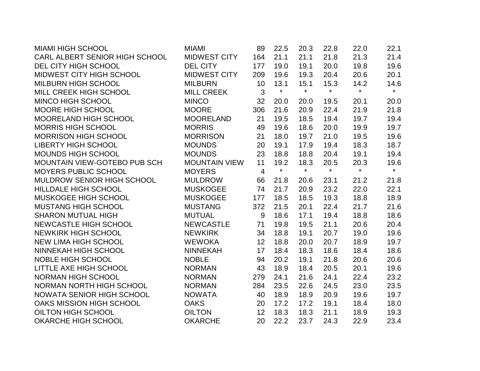| <b>MIAMI HIGH SCHOOL</b>       | MIAMI                | 89             | 22.5    | 20.3    | 22.8    | 22.0    | 22.1    |
|--------------------------------|----------------------|----------------|---------|---------|---------|---------|---------|
| CARL ALBERT SENIOR HIGH SCHOOL | <b>MIDWEST CITY</b>  | 164            | 21.1    | 21.1    | 21.8    | 21.3    | 21.4    |
| DEL CITY HIGH SCHOOL           | <b>DEL CITY</b>      | 177            | 19.0    | 19.1    | 20.0    | 19.8    | 19.6    |
| MIDWEST CITY HIGH SCHOOL       | <b>MIDWEST CITY</b>  | 209            | 19.6    | 19.3    | 20.4    | 20.6    | 20.1    |
| MILBURN HIGH SCHOOL            | <b>MILBURN</b>       | 10             | 13.1    | 15.1    | 15.3    | 14.2    | 14.6    |
| MILL CREEK HIGH SCHOOL         | <b>MILL CREEK</b>    | 3              | $\star$ | $\star$ | $\star$ | $\star$ | $\star$ |
| <b>MINCO HIGH SCHOOL</b>       | <b>MINCO</b>         | 32             | 20.0    | 20.0    | 19.5    | 20.1    | 20.0    |
| <b>MOORE HIGH SCHOOL</b>       | <b>MOORE</b>         | 306            | 21.6    | 20.9    | 22.4    | 21.9    | 21.8    |
| MOORELAND HIGH SCHOOL          | <b>MOORELAND</b>     | 21             | 19.5    | 18.5    | 19.4    | 19.7    | 19.4    |
| <b>MORRIS HIGH SCHOOL</b>      | <b>MORRIS</b>        | 49             | 19.6    | 18.6    | 20.0    | 19.9    | 19.7    |
| <b>MORRISON HIGH SCHOOL</b>    | <b>MORRISON</b>      | 21             | 18.0    | 19.7    | 21.0    | 19.5    | 19.6    |
| <b>LIBERTY HIGH SCHOOL</b>     | <b>MOUNDS</b>        | 20             | 19.1    | 17.9    | 19.4    | 18.3    | 18.7    |
| <b>MOUNDS HIGH SCHOOL</b>      | <b>MOUNDS</b>        | 23             | 18.8    | 18.8    | 20.4    | 19.1    | 19.4    |
| MOUNTAIN VIEW-GOTEBO PUB SCH   | <b>MOUNTAIN VIEW</b> | 11             | 19.2    | 18.3    | 20.5    | 20.3    | 19.6    |
| MOYERS PUBLIC SCHOOL           | <b>MOYERS</b>        | $\overline{4}$ | $\star$ | $\star$ | $\star$ | $\star$ | $\star$ |
| MULDROW SENIOR HIGH SCHOOL     | <b>MULDROW</b>       | 66             | 21.8    | 20.6    | 23.1    | 21.2    | 21.8    |
| <b>HILLDALE HIGH SCHOOL</b>    | <b>MUSKOGEE</b>      | 74             | 21.7    | 20.9    | 23.2    | 22.0    | 22.1    |
| <b>MUSKOGEE HIGH SCHOOL</b>    | <b>MUSKOGEE</b>      | 177            | 18.5    | 18.5    | 19.3    | 18.8    | 18.9    |
| <b>MUSTANG HIGH SCHOOL</b>     | <b>MUSTANG</b>       | 372            | 21.5    | 20.1    | 22.4    | 21.7    | 21.6    |
| <b>SHARON MUTUAL HIGH</b>      | <b>MUTUAL</b>        | 9              | 18.6    | 17.1    | 19.4    | 18.8    | 18.6    |
| <b>NEWCASTLE HIGH SCHOOL</b>   | <b>NEWCASTLE</b>     | 71             | 19.8    | 19.5    | 21.1    | 20.6    | 20.4    |
| <b>NEWKIRK HIGH SCHOOL</b>     | <b>NEWKIRK</b>       | 34             | 18.8    | 19.1    | 20.7    | 19.0    | 19.6    |
| <b>NEW LIMA HIGH SCHOOL</b>    | <b>WEWOKA</b>        | 12             | 18.8    | 20.0    | 20.7    | 18.9    | 19.7    |
| <b>NINNEKAH HIGH SCHOOL</b>    | <b>NINNEKAH</b>      | 17             | 18.4    | 18.3    | 18.6    | 18.4    | 18.6    |
| <b>NOBLE HIGH SCHOOL</b>       | <b>NOBLE</b>         | 94             | 20.2    | 19.1    | 21.8    | 20.6    | 20.6    |
| <b>LITTLE AXE HIGH SCHOOL</b>  | <b>NORMAN</b>        | 43             | 18.9    | 18.4    | 20.5    | 20.1    | 19.6    |
| <b>NORMAN HIGH SCHOOL</b>      | <b>NORMAN</b>        | 279            | 24.1    | 21.6    | 24.1    | 22.4    | 23.2    |
| NORMAN NORTH HIGH SCHOOL       | <b>NORMAN</b>        | 284            | 23.5    | 22.6    | 24.5    | 23.0    | 23.5    |
| NOWATA SENIOR HIGH SCHOOL      | <b>NOWATA</b>        | 40             | 18.9    | 18.9    | 20.9    | 19.6    | 19.7    |
| OAKS MISSION HIGH SCHOOL       | <b>OAKS</b>          | 20             | 17.2    | 17.2    | 19.1    | 18.4    | 18.0    |
| OILTON HIGH SCHOOL             | <b>OILTON</b>        | 12             | 18.3    | 18.3    | 21.1    | 18.9    | 19.3    |
| <b>OKARCHE HIGH SCHOOL</b>     | <b>OKARCHE</b>       | 20             | 22.2    | 23.7    | 24.3    | 22.9    | 23.4    |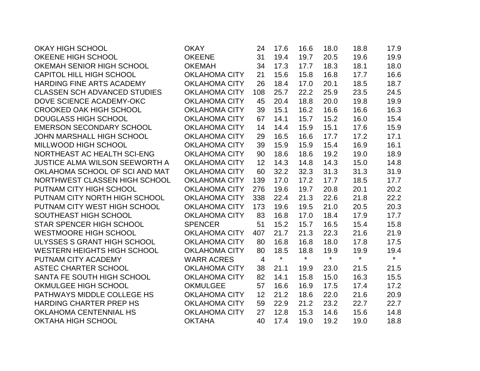| <b>OKAY HIGH SCHOOL</b>               | <b>OKAY</b>          | 24  | 17.6    | 16.6    | 18.0    | 18.8    | 17.9    |
|---------------------------------------|----------------------|-----|---------|---------|---------|---------|---------|
| OKEENE HIGH SCHOOL                    | <b>OKEENE</b>        | 31  | 19.4    | 19.7    | 20.5    | 19.6    | 19.9    |
| OKEMAH SENIOR HIGH SCHOOL             | <b>OKEMAH</b>        | 34  | 17.3    | 17.7    | 18.3    | 18.1    | 18.0    |
| <b>CAPITOL HILL HIGH SCHOOL</b>       | <b>OKLAHOMA CITY</b> | 21  | 15.6    | 15.8    | 16.8    | 17.7    | 16.6    |
| HARDING FINE ARTS ACADEMY             | <b>OKLAHOMA CITY</b> | 26  | 18.4    | 17.0    | 20.1    | 18.5    | 18.7    |
| <b>CLASSEN SCH ADVANCED STUDIES</b>   | <b>OKLAHOMA CITY</b> | 108 | 25.7    | 22.2    | 25.9    | 23.5    | 24.5    |
| DOVE SCIENCE ACADEMY-OKC              | <b>OKLAHOMA CITY</b> | 45  | 20.4    | 18.8    | 20.0    | 19.8    | 19.9    |
| <b>CROOKED OAK HIGH SCHOOL</b>        | <b>OKLAHOMA CITY</b> | 39  | 15.1    | 16.2    | 16.6    | 16.6    | 16.3    |
| <b>DOUGLASS HIGH SCHOOL</b>           | <b>OKLAHOMA CITY</b> | 67  | 14.1    | 15.7    | 15.2    | 16.0    | 15.4    |
| <b>EMERSON SECONDARY SCHOOL</b>       | <b>OKLAHOMA CITY</b> | 14  | 14.4    | 15.9    | 15.1    | 17.6    | 15.9    |
| <b>JOHN MARSHALL HIGH SCHOOL</b>      | <b>OKLAHOMA CITY</b> | 29  | 16.5    | 16.6    | 17.7    | 17.2    | 17.1    |
| MILLWOOD HIGH SCHOOL                  | <b>OKLAHOMA CITY</b> | 39  | 15.9    | 15.9    | 15.4    | 16.9    | 16.1    |
| NORTHEAST AC HEALTH SCI-ENG           | <b>OKLAHOMA CITY</b> | 90  | 18.6    | 18.6    | 19.2    | 19.0    | 18.9    |
| <b>JUSTICE ALMA WILSON SEEWORTH A</b> | <b>OKLAHOMA CITY</b> | 12  | 14.3    | 14.8    | 14.3    | 15.0    | 14.8    |
| OKLAHOMA SCHOOL OF SCI AND MAT        | <b>OKLAHOMA CITY</b> | 60  | 32.2    | 32.3    | 31.3    | 31.3    | 31.9    |
| NORTHWEST CLASSEN HIGH SCHOOL         | <b>OKLAHOMA CITY</b> | 139 | 17.0    | 17.2    | 17.7    | 18.5    | 17.7    |
| PUTNAM CITY HIGH SCHOOL               | <b>OKLAHOMA CITY</b> | 276 | 19.6    | 19.7    | 20.8    | 20.1    | 20.2    |
| PUTNAM CITY NORTH HIGH SCHOOL         | <b>OKLAHOMA CITY</b> | 338 | 22.4    | 21.3    | 22.6    | 21.8    | 22.2    |
| PUTNAM CITY WEST HIGH SCHOOL          | <b>OKLAHOMA CITY</b> | 173 | 19.6    | 19.5    | 21.0    | 20.5    | 20.3    |
| SOUTHEAST HIGH SCHOOL                 | <b>OKLAHOMA CITY</b> | 83  | 16.8    | 17.0    | 18.4    | 17.9    | 17.7    |
| <b>STAR SPENCER HIGH SCHOOL</b>       | <b>SPENCER</b>       | 51  | 15.2    | 15.7    | 16.5    | 15.4    | 15.8    |
| <b>WESTMOORE HIGH SCHOOL</b>          | <b>OKLAHOMA CITY</b> | 407 | 21.7    | 21.3    | 22.3    | 21.6    | 21.9    |
| ULYSSES S GRANT HIGH SCHOOL           | <b>OKLAHOMA CITY</b> | 80  | 16.8    | 16.8    | 18.0    | 17.8    | 17.5    |
| <b>WESTERN HEIGHTS HIGH SCHOOL</b>    | <b>OKLAHOMA CITY</b> | 80  | 18.5    | 18.8    | 19.9    | 19.9    | 19.4    |
| PUTNAM CITY ACADEMY                   | <b>WARR ACRES</b>    | 4   | $\star$ | $\star$ | $\star$ | $\star$ | $\star$ |
| <b>ASTEC CHARTER SCHOOL</b>           | <b>OKLAHOMA CITY</b> | 38  | 21.1    | 19.9    | 23.0    | 21.5    | 21.5    |
| SANTA FE SOUTH HIGH SCHOOL            | <b>OKLAHOMA CITY</b> | 82  | 14.1    | 15.8    | 15.0    | 16.3    | 15.5    |
| OKMULGEE HIGH SCHOOL                  | <b>OKMULGEE</b>      | 57  | 16.6    | 16.9    | 17.5    | 17.4    | 17.2    |
| PATHWAYS MIDDLE COLLEGE HS            | <b>OKLAHOMA CITY</b> | 12  | 21.2    | 18.6    | 22.0    | 21.6    | 20.9    |
| <b>HARDING CHARTER PREP HS</b>        | <b>OKLAHOMA CITY</b> | 59  | 22.9    | 21.2    | 23.2    | 22.7    | 22.7    |
| <b>OKLAHOMA CENTENNIAL HS</b>         | <b>OKLAHOMA CITY</b> | 27  | 12.8    | 15.3    | 14.6    | 15.6    | 14.8    |
| <b>OKTAHA HIGH SCHOOL</b>             | <b>OKTAHA</b>        | 40  | 17.4    | 19.0    | 19.2    | 19.0    | 18.8    |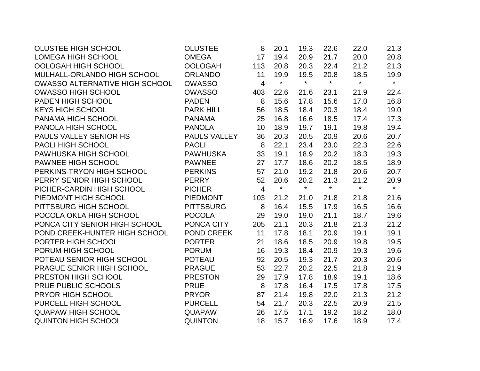| <b>OLUSTEE HIGH SCHOOL</b>            | <b>OLUSTEE</b>      | 8              | 20.1    | 19.3    | 22.6    | 22.0    | 21.3    |
|---------------------------------------|---------------------|----------------|---------|---------|---------|---------|---------|
| LOMEGA HIGH SCHOOL                    | <b>OMEGA</b>        | 17             | 19.4    | 20.9    | 21.7    | 20.0    | 20.8    |
| OOLOGAH HIGH SCHOOL                   | <b>OOLOGAH</b>      | 113            | 20.8    | 20.3    | 22.4    | 21.2    | 21.3    |
| MULHALL-ORLANDO HIGH SCHOOL           | <b>ORLANDO</b>      | 11             | 19.9    | 19.5    | 20.8    | 18.5    | 19.9    |
| <b>OWASSO ALTERNATIVE HIGH SCHOOL</b> | <b>OWASSO</b>       | $\overline{4}$ | $\star$ | $\star$ | $\star$ | $\star$ | $\star$ |
| <b>OWASSO HIGH SCHOOL</b>             | <b>OWASSO</b>       | 403            | 22.6    | 21.6    | 23.1    | 21.9    | 22.4    |
| PADEN HIGH SCHOOL                     | <b>PADEN</b>        | 8              | 15.6    | 17.8    | 15.6    | 17.0    | 16.8    |
| <b>KEYS HIGH SCHOOL</b>               | <b>PARK HILL</b>    | 56             | 18.5    | 18.4    | 20.3    | 18.4    | 19.0    |
| PANAMA HIGH SCHOOL                    | <b>PANAMA</b>       | 25             | 16.8    | 16.6    | 18.5    | 17.4    | 17.3    |
| PANOLA HIGH SCHOOL                    | <b>PANOLA</b>       | 10             | 18.9    | 19.7    | 19.1    | 19.8    | 19.4    |
| PAULS VALLEY SENIOR HS                | <b>PAULS VALLEY</b> | 36             | 20.3    | 20.5    | 20.9    | 20.6    | 20.7    |
| PAOLI HIGH SCHOOL                     | <b>PAOLI</b>        | 8              | 22.1    | 23.4    | 23.0    | 22.3    | 22.6    |
| PAWHUSKA HIGH SCHOOL                  | <b>PAWHUSKA</b>     | 33             | 19.1    | 18.9    | 20.2    | 18.3    | 19.3    |
| PAWNEE HIGH SCHOOL                    | <b>PAWNEE</b>       | 27             | 17.7    | 18.6    | 20.2    | 18.5    | 18.9    |
| PERKINS-TRYON HIGH SCHOOL             | <b>PERKINS</b>      | 57             | 21.0    | 19.2    | 21.8    | 20.6    | 20.7    |
| PERRY SENIOR HIGH SCHOOL              | <b>PERRY</b>        | 52             | 20.6    | 20.2    | 21.3    | 21.2    | 20.9    |
| PICHER-CARDIN HIGH SCHOOL             | <b>PICHER</b>       | $\overline{4}$ | $\star$ | $\star$ | $\star$ | $\star$ | $\star$ |
| PIEDMONT HIGH SCHOOL                  | <b>PIEDMONT</b>     | 103            | 21.2    | 21.0    | 21.8    | 21.8    | 21.6    |
| PITTSBURG HIGH SCHOOL                 | <b>PITTSBURG</b>    | 8              | 16.4    | 15.5    | 17.9    | 16.5    | 16.6    |
| POCOLA OKLA HIGH SCHOOL               | <b>POCOLA</b>       | 29             | 19.0    | 19.0    | 21.1    | 18.7    | 19.6    |
| PONCA CITY SENIOR HIGH SCHOOL         | PONCA CITY          | 205            | 21.1    | 20.3    | 21.8    | 21.3    | 21.2    |
| POND CREEK-HUNTER HIGH SCHOOL         | <b>POND CREEK</b>   | 11             | 17.8    | 18.1    | 20.9    | 19.1    | 19.1    |
| PORTER HIGH SCHOOL                    | <b>PORTER</b>       | 21             | 18.6    | 18.5    | 20.9    | 19.8    | 19.5    |
| PORUM HIGH SCHOOL                     | <b>PORUM</b>        | 16             | 19.3    | 18.4    | 20.9    | 19.3    | 19.6    |
| POTEAU SENIOR HIGH SCHOOL             | <b>POTEAU</b>       | 92             | 20.5    | 19.3    | 21.7    | 20.3    | 20.6    |
| PRAGUE SENIOR HIGH SCHOOL             | <b>PRAGUE</b>       | 53             | 22.7    | 20.2    | 22.5    | 21.8    | 21.9    |
| PRESTON HIGH SCHOOL                   | <b>PRESTON</b>      | 29             | 17.9    | 17.8    | 18.9    | 19.1    | 18.6    |
| PRUE PUBLIC SCHOOLS                   | <b>PRUE</b>         | 8              | 17.8    | 16.4    | 17.5    | 17.8    | 17.5    |
| <b>PRYOR HIGH SCHOOL</b>              | <b>PRYOR</b>        | 87             | 21.4    | 19.8    | 22.0    | 21.3    | 21.2    |
| PURCELL HIGH SCHOOL                   | <b>PURCELL</b>      | 54             | 21.7    | 20.3    | 22.5    | 20.9    | 21.5    |
| <b>QUAPAW HIGH SCHOOL</b>             | <b>QUAPAW</b>       | 26             | 17.5    | 17.1    | 19.2    | 18.2    | 18.0    |
| <b>QUINTON HIGH SCHOOL</b>            | <b>QUINTON</b>      | 18             | 15.7    | 16.9    | 17.6    | 18.9    | 17.4    |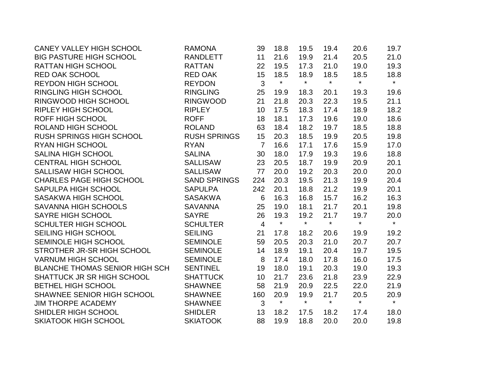| <b>CANEY VALLEY HIGH SCHOOL</b>       | <b>RAMONA</b>       | 39             | 18.8    | 19.5    | 19.4    | 20.6    | 19.7    |
|---------------------------------------|---------------------|----------------|---------|---------|---------|---------|---------|
| <b>BIG PASTURE HIGH SCHOOL</b>        | <b>RANDLETT</b>     | 11             | 21.6    | 19.9    | 21.4    | 20.5    | 21.0    |
| <b>RATTAN HIGH SCHOOL</b>             | <b>RATTAN</b>       | 22             | 19.5    | 17.3    | 21.0    | 19.0    | 19.3    |
| <b>RED OAK SCHOOL</b>                 | <b>RED OAK</b>      | 15             | 18.5    | 18.9    | 18.5    | 18.5    | 18.8    |
| <b>REYDON HIGH SCHOOL</b>             | <b>REYDON</b>       | 3              | $\star$ | $\star$ | $\star$ | $\star$ | $\star$ |
| <b>RINGLING HIGH SCHOOL</b>           | <b>RINGLING</b>     | 25             | 19.9    | 18.3    | 20.1    | 19.3    | 19.6    |
| RINGWOOD HIGH SCHOOL                  | <b>RINGWOOD</b>     | 21             | 21.8    | 20.3    | 22.3    | 19.5    | 21.1    |
| <b>RIPLEY HIGH SCHOOL</b>             | <b>RIPLEY</b>       | 10             | 17.5    | 18.3    | 17.4    | 18.9    | 18.2    |
| <b>ROFF HIGH SCHOOL</b>               | <b>ROFF</b>         | 18             | 18.1    | 17.3    | 19.6    | 19.0    | 18.6    |
| <b>ROLAND HIGH SCHOOL</b>             | <b>ROLAND</b>       | 63             | 18.4    | 18.2    | 19.7    | 18.5    | 18.8    |
| <b>RUSH SPRINGS HIGH SCHOOL</b>       | <b>RUSH SPRINGS</b> | 15             | 20.3    | 18.5    | 19.9    | 20.5    | 19.8    |
| <b>RYAN HIGH SCHOOL</b>               | <b>RYAN</b>         | $\overline{7}$ | 16.6    | 17.1    | 17.6    | 15.9    | 17.0    |
| <b>SALINA HIGH SCHOOL</b>             | <b>SALINA</b>       | 30             | 18.0    | 17.9    | 19.3    | 19.6    | 18.8    |
| <b>CENTRAL HIGH SCHOOL</b>            | <b>SALLISAW</b>     | 23             | 20.5    | 18.7    | 19.9    | 20.9    | 20.1    |
| <b>SALLISAW HIGH SCHOOL</b>           | <b>SALLISAW</b>     | 77             | 20.0    | 19.2    | 20.3    | 20.0    | 20.0    |
| <b>CHARLES PAGE HIGH SCHOOL</b>       | <b>SAND SPRINGS</b> | 224            | 20.3    | 19.5    | 21.3    | 19.9    | 20.4    |
| SAPULPA HIGH SCHOOL                   | <b>SAPULPA</b>      | 242            | 20.1    | 18.8    | 21.2    | 19.9    | 20.1    |
| <b>SASAKWA HIGH SCHOOL</b>            | <b>SASAKWA</b>      | 6              | 16.3    | 16.8    | 15.7    | 16.2    | 16.3    |
| <b>SAVANNA HIGH SCHOOLS</b>           | <b>SAVANNA</b>      | 25             | 19.0    | 18.1    | 21.7    | 20.1    | 19.8    |
| SAYRE HIGH SCHOOL                     | <b>SAYRE</b>        | 26             | 19.3    | 19.2    | 21.7    | 19.7    | 20.0    |
| <b>SCHULTER HIGH SCHOOL</b>           | <b>SCHULTER</b>     | $\overline{4}$ | $\star$ | $\star$ | $\star$ | $\star$ | $\star$ |
| <b>SEILING HIGH SCHOOL</b>            | <b>SEILING</b>      | 21             | 17.8    | 18.2    | 20.6    | 19.9    | 19.2    |
| SEMINOLE HIGH SCHOOL                  | <b>SEMINOLE</b>     | 59             | 20.5    | 20.3    | 21.0    | 20.7    | 20.7    |
| STROTHER JR-SR HIGH SCHOOL            | <b>SEMINOLE</b>     | 14             | 18.9    | 19.1    | 20.4    | 19.7    | 19.5    |
| <b>VARNUM HIGH SCHOOL</b>             | <b>SEMINOLE</b>     | 8              | 17.4    | 18.0    | 17.8    | 16.0    | 17.5    |
| <b>BLANCHE THOMAS SENIOR HIGH SCH</b> | <b>SENTINEL</b>     | 19             | 18.0    | 19.1    | 20.3    | 19.0    | 19.3    |
| SHATTUCK JR SR HIGH SCHOOL            | <b>SHATTUCK</b>     | 10             | 21.7    | 23.6    | 21.8    | 23.9    | 22.9    |
| BETHEL HIGH SCHOOL                    | <b>SHAWNEE</b>      | 58             | 21.9    | 20.9    | 22.5    | 22.0    | 21.9    |
| SHAWNEE SENIOR HIGH SCHOOL            | <b>SHAWNEE</b>      | 160            | 20.9    | 19.9    | 21.7    | 20.5    | 20.9    |
| <b>JIM THORPE ACADEMY</b>             | <b>SHAWNEE</b>      | 3              | $\star$ | $\star$ | $\star$ | $\star$ | $\star$ |
| SHIDLER HIGH SCHOOL                   | <b>SHIDLER</b>      | 13             | 18.2    | 17.5    | 18.2    | 17.4    | 18.0    |
| <b>SKIATOOK HIGH SCHOOL</b>           | <b>SKIATOOK</b>     | 88             | 19.9    | 18.8    | 20.0    | 20.0    | 19.8    |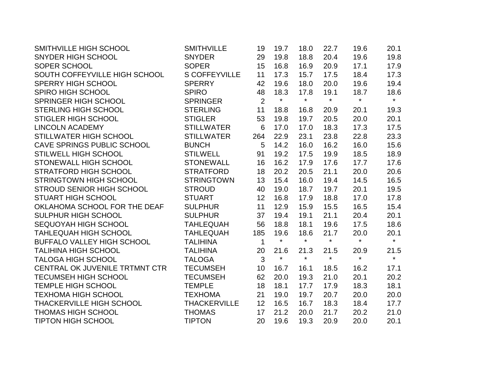| SMITHVILLE HIGH SCHOOL            | <b>SMITHVILLE</b>    | 19             | 19.7    | 18.0    | 22.7    | 19.6    | 20.1    |
|-----------------------------------|----------------------|----------------|---------|---------|---------|---------|---------|
| SNYDER HIGH SCHOOL                | <b>SNYDER</b>        | 29             | 19.8    | 18.8    | 20.4    | 19.6    | 19.8    |
| SOPER SCHOOL                      | <b>SOPER</b>         | 15             | 16.8    | 16.9    | 20.9    | 17.1    | 17.9    |
| SOUTH COFFEYVILLE HIGH SCHOOL     | <b>S COFFEYVILLE</b> | 11             | 17.3    | 15.7    | 17.5    | 18.4    | 17.3    |
| SPERRY HIGH SCHOOL                | <b>SPERRY</b>        | 42             | 19.6    | 18.0    | 20.0    | 19.6    | 19.4    |
| <b>SPIRO HIGH SCHOOL</b>          | <b>SPIRO</b>         | 48             | 18.3    | 17.8    | 19.1    | 18.7    | 18.6    |
| SPRINGER HIGH SCHOOL              | <b>SPRINGER</b>      | $\overline{2}$ | $\star$ | $\star$ | $\star$ | $\star$ | $\star$ |
| <b>STERLING HIGH SCHOOL</b>       | <b>STERLING</b>      | 11             | 18.8    | 16.8    | 20.9    | 20.1    | 19.3    |
| <b>STIGLER HIGH SCHOOL</b>        | <b>STIGLER</b>       | 53             | 19.8    | 19.7    | 20.5    | 20.0    | 20.1    |
| <b>LINCOLN ACADEMY</b>            | <b>STILLWATER</b>    | 6              | 17.0    | 17.0    | 18.3    | 17.3    | 17.5    |
| STILLWATER HIGH SCHOOL            | <b>STILLWATER</b>    | 264            | 22.9    | 23.1    | 23.8    | 22.8    | 23.3    |
| CAVE SPRINGS PUBLIC SCHOOL        | <b>BUNCH</b>         | 5              | 14.2    | 16.0    | 16.2    | 16.0    | 15.6    |
| <b>STILWELL HIGH SCHOOL</b>       | <b>STILWELL</b>      | 91             | 19.2    | 17.5    | 19.9    | 18.5    | 18.9    |
| STONEWALL HIGH SCHOOL             | <b>STONEWALL</b>     | 16             | 16.2    | 17.9    | 17.6    | 17.7    | 17.6    |
| <b>STRATFORD HIGH SCHOOL</b>      | <b>STRATFORD</b>     | 18             | 20.2    | 20.5    | 21.1    | 20.0    | 20.6    |
| <b>STRINGTOWN HIGH SCHOOL</b>     | <b>STRINGTOWN</b>    | 13             | 15.4    | 16.0    | 19.4    | 14.5    | 16.5    |
| <b>STROUD SENIOR HIGH SCHOOL</b>  | <b>STROUD</b>        | 40             | 19.0    | 18.7    | 19.7    | 20.1    | 19.5    |
| <b>STUART HIGH SCHOOL</b>         | <b>STUART</b>        | 12             | 16.8    | 17.9    | 18.8    | 17.0    | 17.8    |
| OKLAHOMA SCHOOL FOR THE DEAF      | <b>SULPHUR</b>       | 11             | 12.9    | 15.9    | 15.5    | 16.5    | 15.4    |
| SULPHUR HIGH SCHOOL               | <b>SULPHUR</b>       | 37             | 19.4    | 19.1    | 21.1    | 20.4    | 20.1    |
| SEQUOYAH HIGH SCHOOL              | <b>TAHLEQUAH</b>     | 56             | 18.8    | 18.1    | 19.6    | 17.5    | 18.6    |
| <b>TAHLEQUAH HIGH SCHOOL</b>      | <b>TAHLEQUAH</b>     | 185            | 19.6    | 18.6    | 21.7    | 20.0    | 20.1    |
| <b>BUFFALO VALLEY HIGH SCHOOL</b> | <b>TALIHINA</b>      | $\mathbf{1}$   | $\star$ | $\star$ | $\star$ | $\star$ | $\star$ |
| <b>TALIHINA HIGH SCHOOL</b>       | <b>TALIHINA</b>      | 20             | 21.6    | 21.3    | 21.5    | 20.9    | 21.5    |
| <b>TALOGA HIGH SCHOOL</b>         | <b>TALOGA</b>        | $\overline{3}$ | $\star$ | $\star$ | $\star$ | $\star$ | $\star$ |
| CENTRAL OK JUVENILE TRTMNT CTR    | <b>TECUMSEH</b>      | 10             | 16.7    | 16.1    | 18.5    | 16.2    | 17.1    |
| <b>TECUMSEH HIGH SCHOOL</b>       | <b>TECUMSEH</b>      | 62             | 20.0    | 19.3    | 21.0    | 20.1    | 20.2    |
| <b>TEMPLE HIGH SCHOOL</b>         | <b>TEMPLE</b>        | 18             | 18.1    | 17.7    | 17.9    | 18.3    | 18.1    |
| <b>TEXHOMA HIGH SCHOOL</b>        | <b>TEXHOMA</b>       | 21             | 19.0    | 19.7    | 20.7    | 20.0    | 20.0    |
| <b>THACKERVILLE HIGH SCHOOL</b>   | <b>THACKERVILLE</b>  | 12             | 16.5    | 16.7    | 18.3    | 18.4    | 17.7    |
| <b>THOMAS HIGH SCHOOL</b>         | <b>THOMAS</b>        | 17             | 21.2    | 20.0    | 21.7    | 20.2    | 21.0    |
| <b>TIPTON HIGH SCHOOL</b>         | <b>TIPTON</b>        | 20             | 19.6    | 19.3    | 20.9    | 20.0    | 20.1    |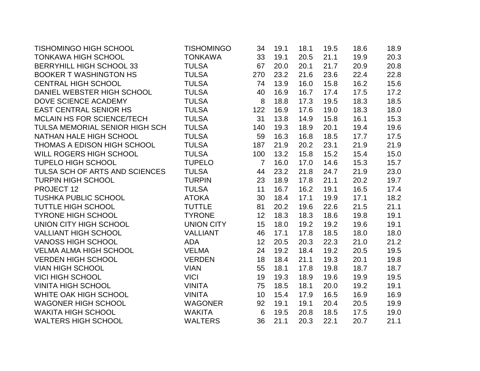| TISHOMINGO HIGH SCHOOL          | <b>TISHOMINGO</b> | 34              | 19.1 | 18.1 | 19.5 | 18.6 | 18.9 |
|---------------------------------|-------------------|-----------------|------|------|------|------|------|
| <b>TONKAWA HIGH SCHOOL</b>      | <b>TONKAWA</b>    | 33              | 19.1 | 20.5 | 21.1 | 19.9 | 20.3 |
| <b>BERRYHILL HIGH SCHOOL 33</b> | <b>TULSA</b>      | 67              | 20.0 | 20.1 | 21.7 | 20.9 | 20.8 |
| <b>BOOKER T WASHINGTON HS</b>   | <b>TULSA</b>      | 270             | 23.2 | 21.6 | 23.6 | 22.4 | 22.8 |
| <b>CENTRAL HIGH SCHOOL</b>      | <b>TULSA</b>      | 74              | 13.9 | 16.0 | 15.8 | 16.2 | 15.6 |
| DANIEL WEBSTER HIGH SCHOOL      | <b>TULSA</b>      | 40              | 16.9 | 16.7 | 17.4 | 17.5 | 17.2 |
| DOVE SCIENCE ACADEMY            | <b>TULSA</b>      | 8               | 18.8 | 17.3 | 19.5 | 18.3 | 18.5 |
| <b>EAST CENTRAL SENIOR HS</b>   | <b>TULSA</b>      | 122             | 16.9 | 17.6 | 19.0 | 18.3 | 18.0 |
| MCLAIN HS FOR SCIENCE/TECH      | <b>TULSA</b>      | 31              | 13.8 | 14.9 | 15.8 | 16.1 | 15.3 |
| TULSA MEMORIAL SENIOR HIGH SCH  | <b>TULSA</b>      | 140             | 19.3 | 18.9 | 20.1 | 19.4 | 19.6 |
| NATHAN HALE HIGH SCHOOL         | <b>TULSA</b>      | 59              | 16.3 | 16.8 | 18.5 | 17.7 | 17.5 |
| THOMAS A EDISON HIGH SCHOOL     | <b>TULSA</b>      | 187             | 21.9 | 20.2 | 23.1 | 21.9 | 21.9 |
| WILL ROGERS HIGH SCHOOL         | <b>TULSA</b>      | 100             | 13.2 | 15.8 | 15.2 | 15.4 | 15.0 |
| <b>TUPELO HIGH SCHOOL</b>       | <b>TUPELO</b>     | $\overline{7}$  | 16.0 | 17.0 | 14.6 | 15.3 | 15.7 |
| TULSA SCH OF ARTS AND SCIENCES  | <b>TULSA</b>      | 44              | 23.2 | 21.8 | 24.7 | 21.9 | 23.0 |
| <b>TURPIN HIGH SCHOOL</b>       | <b>TURPIN</b>     | 23              | 18.9 | 17.8 | 21.1 | 20.2 | 19.7 |
| PROJECT 12                      | <b>TULSA</b>      | 11              | 16.7 | 16.2 | 19.1 | 16.5 | 17.4 |
| <b>TUSHKA PUBLIC SCHOOL</b>     | <b>ATOKA</b>      | 30              | 18.4 | 17.1 | 19.9 | 17.1 | 18.2 |
| <b>TUTTLE HIGH SCHOOL</b>       | <b>TUTTLE</b>     | 81              | 20.2 | 19.6 | 22.6 | 21.5 | 21.1 |
| <b>TYRONE HIGH SCHOOL</b>       | <b>TYRONE</b>     | 12              | 18.3 | 18.3 | 18.6 | 19.8 | 19.1 |
| UNION CITY HIGH SCHOOL          | <b>UNION CITY</b> | 15              | 18.0 | 19.2 | 19.2 | 19.6 | 19.1 |
| <b>VALLIANT HIGH SCHOOL</b>     | <b>VALLIANT</b>   | 46              | 17.1 | 17.8 | 18.5 | 18.0 | 18.0 |
| <b>VANOSS HIGH SCHOOL</b>       | <b>ADA</b>        | 12              | 20.5 | 20.3 | 22.3 | 21.0 | 21.2 |
| <b>VELMA ALMA HIGH SCHOOL</b>   | <b>VELMA</b>      | 24              | 19.2 | 18.4 | 19.2 | 20.5 | 19.5 |
| <b>VERDEN HIGH SCHOOL</b>       | <b>VERDEN</b>     | 18              | 18.4 | 21.1 | 19.3 | 20.1 | 19.8 |
| <b>VIAN HIGH SCHOOL</b>         | <b>VIAN</b>       | 55              | 18.1 | 17.8 | 19.8 | 18.7 | 18.7 |
| <b>VICI HIGH SCHOOL</b>         | <b>VICI</b>       | 19              | 19.3 | 18.9 | 19.6 | 19.9 | 19.5 |
| <b>VINITA HIGH SCHOOL</b>       | <b>VINITA</b>     | 75              | 18.5 | 18.1 | 20.0 | 19.2 | 19.1 |
| WHITE OAK HIGH SCHOOL           | <b>VINITA</b>     | 10              | 15.4 | 17.9 | 16.5 | 16.9 | 16.9 |
| <b>WAGONER HIGH SCHOOL</b>      | <b>WAGONER</b>    | 92              | 19.1 | 19.1 | 20.4 | 20.5 | 19.9 |
| <b>WAKITA HIGH SCHOOL</b>       | <b>WAKITA</b>     | $6\phantom{1}6$ | 19.5 | 20.8 | 18.5 | 17.5 | 19.0 |
| <b>WALTERS HIGH SCHOOL</b>      | <b>WALTERS</b>    | 36              | 21.1 | 20.3 | 22.1 | 20.7 | 21.1 |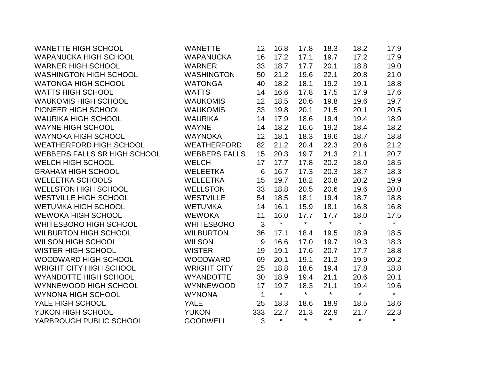| <b>WANETTE HIGH SCHOOL</b>          | <b>WANETTE</b>       | 12           | 16.8    | 17.8    | 18.3    | 18.2    | 17.9    |
|-------------------------------------|----------------------|--------------|---------|---------|---------|---------|---------|
| <b>WAPANUCKA HIGH SCHOOL</b>        | <b>WAPANUCKA</b>     | 16           | 17.2    | 17.1    | 19.7    | 17.2    | 17.9    |
| <b>WARNER HIGH SCHOOL</b>           | <b>WARNER</b>        | 33           | 18.7    | 17.7    | 20.1    | 18.8    | 19.0    |
| <b>WASHINGTON HIGH SCHOOL</b>       | <b>WASHINGTON</b>    | 50           | 21.2    | 19.6    | 22.1    | 20.8    | 21.0    |
| <b>WATONGA HIGH SCHOOL</b>          | <b>WATONGA</b>       | 40           | 18.2    | 18.1    | 19.2    | 19.1    | 18.8    |
| <b>WATTS HIGH SCHOOL</b>            | <b>WATTS</b>         | 14           | 16.6    | 17.8    | 17.5    | 17.9    | 17.6    |
| <b>WAUKOMIS HIGH SCHOOL</b>         | <b>WAUKOMIS</b>      | 12           | 18.5    | 20.6    | 19.8    | 19.6    | 19.7    |
| PIONEER HIGH SCHOOL                 | <b>WAUKOMIS</b>      | 33           | 19.8    | 20.1    | 21.5    | 20.1    | 20.5    |
| <b>WAURIKA HIGH SCHOOL</b>          | <b>WAURIKA</b>       | 14           | 17.9    | 18.6    | 19.4    | 19.4    | 18.9    |
| <b>WAYNE HIGH SCHOOL</b>            | <b>WAYNE</b>         | 14           | 18.2    | 16.6    | 19.2    | 18.4    | 18.2    |
| <b>WAYNOKA HIGH SCHOOL</b>          | <b>WAYNOKA</b>       | 12           | 18.1    | 18.3    | 19.6    | 18.7    | 18.8    |
| <b>WEATHERFORD HIGH SCHOOL</b>      | <b>WEATHERFORD</b>   | 82           | 21.2    | 20.4    | 22.3    | 20.6    | 21.2    |
| <b>WEBBERS FALLS SR HIGH SCHOOL</b> | <b>WEBBERS FALLS</b> | 15           | 20.3    | 19.7    | 21.3    | 21.1    | 20.7    |
| <b>WELCH HIGH SCHOOL</b>            | <b>WELCH</b>         | 17           | 17.7    | 17.8    | 20.2    | 18.0    | 18.5    |
| <b>GRAHAM HIGH SCHOOL</b>           | <b>WELEETKA</b>      | 6            | 16.7    | 17.3    | 20.3    | 18.7    | 18.3    |
| <b>WELEETKA SCHOOLS</b>             | <b>WELEETKA</b>      | 15           | 19.7    | 18.2    | 20.8    | 20.2    | 19.9    |
| <b>WELLSTON HIGH SCHOOL</b>         | <b>WELLSTON</b>      | 33           | 18.8    | 20.5    | 20.6    | 19.6    | 20.0    |
| <b>WESTVILLE HIGH SCHOOL</b>        | <b>WESTVILLE</b>     | 54           | 18.5    | 18.1    | 19.4    | 18.7    | 18.8    |
| <b>WETUMKA HIGH SCHOOL</b>          | <b>WETUMKA</b>       | 14           | 16.1    | 15.9    | 18.1    | 16.8    | 16.8    |
| <b>WEWOKA HIGH SCHOOL</b>           | <b>WEWOKA</b>        | 11           | 16.0    | 17.7    | 17.7    | 18.0    | 17.5    |
| <b>WHITESBORO HIGH SCHOOL</b>       | <b>WHITESBORO</b>    | 3            | $\star$ | $\star$ | $\star$ | $\star$ | $\star$ |
| <b>WILBURTON HIGH SCHOOL</b>        | <b>WILBURTON</b>     | 36           | 17.1    | 18.4    | 19.5    | 18.9    | 18.5    |
| <b>WILSON HIGH SCHOOL</b>           | <b>WILSON</b>        | 9            | 16.6    | 17.0    | 19.7    | 19.3    | 18.3    |
| <b>WISTER HIGH SCHOOL</b>           | <b>WISTER</b>        | 19           | 19.1    | 17.6    | 20.7    | 17.7    | 18.8    |
| WOODWARD HIGH SCHOOL                | <b>WOODWARD</b>      | 69           | 20.1    | 19.1    | 21.2    | 19.9    | 20.2    |
| <b>WRIGHT CITY HIGH SCHOOL</b>      | <b>WRIGHT CITY</b>   | 25           | 18.8    | 18.6    | 19.4    | 17.8    | 18.8    |
| <b>WYANDOTTE HIGH SCHOOL</b>        | <b>WYANDOTTE</b>     | 30           | 18.9    | 19.4    | 21.1    | 20.6    | 20.1    |
| WYNNEWOOD HIGH SCHOOL               | <b>WYNNEWOOD</b>     | 17           | 19.7    | 18.3    | 21.1    | 19.4    | 19.6    |
| <b>WYNONA HIGH SCHOOL</b>           | <b>WYNONA</b>        | $\mathbf{1}$ | $\star$ | $\star$ | $\star$ | $\star$ | $\star$ |
| YALE HIGH SCHOOL                    | <b>YALE</b>          | 25           | 18.3    | 18.6    | 18.9    | 18.5    | 18.6    |
| YUKON HIGH SCHOOL                   | <b>YUKON</b>         | 333          | 22.7    | 21.3    | 22.9    | 21.7    | 22.3    |
| YARBROUGH PUBLIC SCHOOL             | <b>GOODWELL</b>      | 3            | $\star$ | $\star$ | $\star$ | $\star$ | $\star$ |